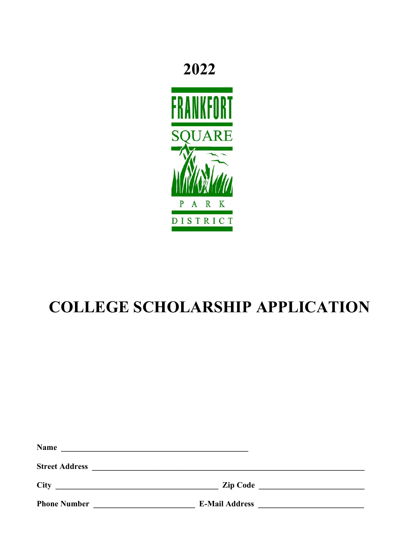## 2022



# **COLLEGE SCHOLARSHIP APPLICATION**

| <b>Name</b>           | <u> 1989 - Andrea Stadt Britain, amerikansk politik (</u>     |  |
|-----------------------|---------------------------------------------------------------|--|
| <b>Street Address</b> | <u> 1980 - Andrea Stadt Britain, fransk politik (d. 1980)</u> |  |
| <b>City</b>           | Zip Code                                                      |  |
| <b>Phone Number</b>   | <b>E-Mail Address</b>                                         |  |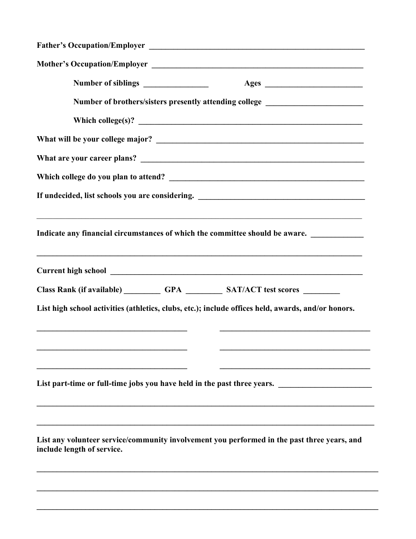|  | Number of brothers/sisters presently attending college _________________________                                                            |  |  |
|--|---------------------------------------------------------------------------------------------------------------------------------------------|--|--|
|  |                                                                                                                                             |  |  |
|  |                                                                                                                                             |  |  |
|  |                                                                                                                                             |  |  |
|  |                                                                                                                                             |  |  |
|  | If undecided, list schools you are considering. ________________________________                                                            |  |  |
|  | <u> 1989 - Johann Stoff, amerikansk politiker (d. 1989)</u><br>Indicate any financial circumstances of which the committee should be aware. |  |  |
|  | <u> 1989 - Johann Barbara, martxa alemaniar argamento este alemaniar alemaniar alemaniar alemaniar alemaniar a</u>                          |  |  |
|  | Class Rank (if available) __________ GPA _________ SAT/ACT test scores ________                                                             |  |  |
|  | List high school activities (athletics, clubs, etc.); include offices held, awards, and/or honors.                                          |  |  |
|  |                                                                                                                                             |  |  |
|  | List part-time or full-time jobs you have held in the past three years.                                                                     |  |  |
|  | List any volunteer service/community involvement you performed in the past three years, and<br>include length of service.                   |  |  |

 $\mathcal{L}_\mathcal{L} = \{ \mathcal{L}_\mathcal{L} = \{ \mathcal{L}_\mathcal{L} = \{ \mathcal{L}_\mathcal{L} = \{ \mathcal{L}_\mathcal{L} = \{ \mathcal{L}_\mathcal{L} = \{ \mathcal{L}_\mathcal{L} = \{ \mathcal{L}_\mathcal{L} = \{ \mathcal{L}_\mathcal{L} = \{ \mathcal{L}_\mathcal{L} = \{ \mathcal{L}_\mathcal{L} = \{ \mathcal{L}_\mathcal{L} = \{ \mathcal{L}_\mathcal{L} = \{ \mathcal{L}_\mathcal{L} = \{ \mathcal{L}_\mathcal{$ 

 $\_$